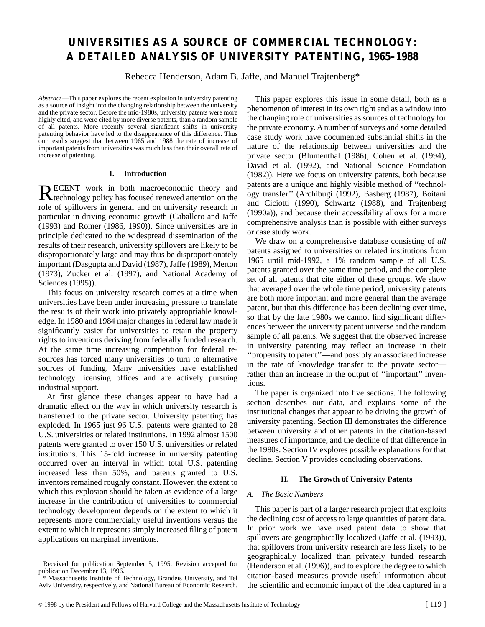# **UNIVERSITIES AS A SOURCE OF COMMERCIAL TECHNOLOGY: A DETAILED ANALYSIS OF UNIVERSITY PATENTING, 1965–1988**

Rebecca Henderson, Adam B. Jaffe, and Manuel Trajtenberg\*

*Abstract*—This paper explores the recent explosion in university patenting as a source of insight into the changing relationship between the university and the private sector. Before the mid-1980s, university patents were more highly cited, and were cited by more diverse patents, than a random sample of all patents. More recently several significant shifts in university patenting behavior have led to the disappearance of this difference. Thus our results suggest that between 1965 and 1988 the rate of increase of important patents from universities was much less than their overall rate of increase of patenting.

## **I. Introduction**

RECENT work in both macroeconomic theory and<br>Rechnology policy has focused renewed attention on the role of spillovers in general and on university research in particular in driving economic growth (Caballero and Jaffe (1993) and Romer (1986, 1990)). Since universities are in principle dedicated to the widespread dissemination of the results of their research, university spillovers are likely to be disproportionately large and may thus be disproportionately important (Dasgupta and David (1987), Jaffe (1989), Merton (1973), Zucker et al. (1997), and National Academy of Sciences (1995)).

This focus on university research comes at a time when universities have been under increasing pressure to translate the results of their work into privately appropriable knowledge. In 1980 and 1984 major changes in federal law made it significantly easier for universities to retain the property rights to inventions deriving from federally funded research. At the same time increasing competition for federal resources has forced many universities to turn to alternative sources of funding. Many universities have established technology licensing offices and are actively pursuing industrial support.

At first glance these changes appear to have had a dramatic effect on the way in which university research is transferred to the private sector. University patenting has exploded. In 1965 just 96 U.S. patents were granted to 28 U.S. universities or related institutions. In 1992 almost 1500 patents were granted to over 150 U.S. universities or related institutions. This 15-fold increase in university patenting occurred over an interval in which total U.S. patenting increased less than 50%, and patents granted to U.S. inventors remained roughly constant. However, the extent to which this explosion should be taken as evidence of a large increase in the contribution of universities to commercial technology development depends on the extent to which it represents more commercially useful inventions versus the extent to which it represents simply increased filing of patent applications on marginal inventions.

This paper explores this issue in some detail, both as a phenomenon of interest in its own right and as a window into the changing role of universities as sources of technology for the private economy. A number of surveys and some detailed case study work have documented substantial shifts in the nature of the relationship between universities and the private sector (Blumenthal (1986), Cohen et al. (1994), David et al. (1992), and National Science Foundation (1982)). Here we focus on university patents, both because patents are a unique and highly visible method of ''technology transfer'' (Archibugi (1992), Basberg (1987), Boitani and Ciciotti (1990), Schwartz (1988), and Trajtenberg (1990a)), and because their accessibility allows for a more comprehensive analysis than is possible with either surveys or case study work.

We draw on a comprehensive database consisting of *all* patents assigned to universities or related institutions from 1965 until mid-1992, a 1% random sample of all U.S. patents granted over the same time period, and the complete set of all patents that cite either of these groups. We show that averaged over the whole time period, university patents are both more important and more general than the average patent, but that this difference has been declining over time, so that by the late 1980s we cannot find significant differences between the university patent universe and the random sample of all patents. We suggest that the observed increase in university patenting may reflect an increase in their ''propensity to patent''—and possibly an associated increase in the rate of knowledge transfer to the private sector rather than an increase in the output of ''important'' inventions.

The paper is organized into five sections. The following section describes our data, and explains some of the institutional changes that appear to be driving the growth of university patenting. Section III demonstrates the difference between university and other patents in the citation-based measures of importance, and the decline of that difference in the 1980s. Section IV explores possible explanations for that decline. Section V provides concluding observations.

## **II. The Growth of University Patents**

## *A. The Basic Numbers*

This paper is part of a larger research project that exploits the declining cost of access to large quantities of patent data. In prior work we have used patent data to show that spillovers are geographically localized (Jaffe et al. (1993)), that spillovers from university research are less likely to be geographically localized than privately funded research (Henderson et al. (1996)), and to explore the degree to which citation-based measures provide useful information about the scientific and economic impact of the idea captured in a

Received for publication September 5, 1995. Revision accepted for publication December 13, 1996.

<sup>\*</sup> Massachusetts Institute of Technology, Brandeis University, and Tel Aviv University, respectively, and National Bureau of Economic Research.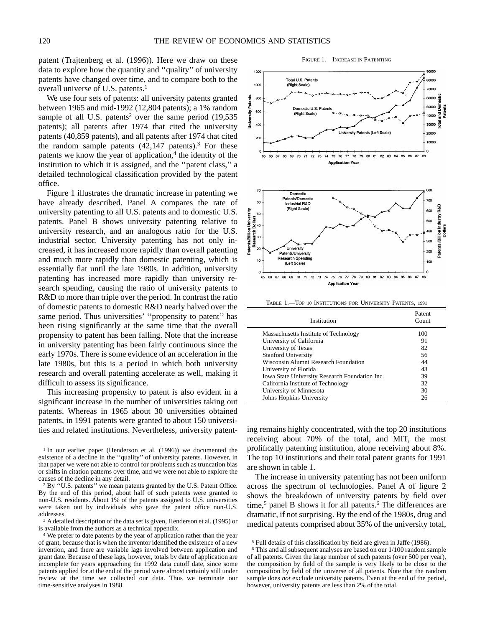patent (Trajtenberg et al. (1996)). Here we draw on these data to explore how the quantity and ''quality'' of university patents have changed over time, and to compare both to the overall universe of U.S. patents.<sup>1</sup>

We use four sets of patents: all university patents granted between 1965 and mid-1992 (12,804 patents); a 1% random sample of all U.S. patents<sup>2</sup> over the same period  $(19,535)$ patents); all patents after 1974 that cited the university patents (40,859 patents), and all patents after 1974 that cited the random sample patents  $(42,147 \text{ patterns})$ .<sup>3</sup> For these patents we know the year of application, $4$  the identity of the institution to which it is assigned, and the ''patent class,'' a detailed technological classification provided by the patent office.

Figure 1 illustrates the dramatic increase in patenting we have already described. Panel A compares the rate of university patenting to all U.S. patents and to domestic U.S. patents. Panel B shows university patenting relative to university research, and an analogous ratio for the U.S. industrial sector. University patenting has not only increased, it has increased more rapidly than overall patenting and much more rapidly than domestic patenting, which is essentially flat until the late 1980s. In addition, university patenting has increased more rapidly than university research spending, causing the ratio of university patents to R&D to more than triple over the period. In contrast the ratio of domestic patents to domestic R&D nearly halved over the same period. Thus universities' ''propensity to patent'' has been rising significantly at the same time that the overall propensity to patent has been falling. Note that the increase in university patenting has been fairly continuous since the early 1970s. There is some evidence of an acceleration in the late 1980s, but this is a period in which both university research and overall patenting accelerate as well, making it difficult to assess its significance.

This increasing propensity to patent is also evident in a significant increase in the number of universities taking out patents. Whereas in 1965 about 30 universities obtained patents, in 1991 patents were granted to about 150 universities and related institutions. Nevertheless, university patent- ing remains highly concentrated, with the top 20 institutions

<sup>1</sup> In our earlier paper (Henderson et al. (1996)) we documented the existence of a decline in the ''quality'' of university patents. However, in that paper we were not able to control for problems such as truncation bias or shifts in citation patterns over time, and we were not able to explore the causes of the decline in any detail.

<sup>2</sup> By ''U.S. patents'' we mean patents granted by the U.S. Patent Office. By the end of this period, about half of such patents were granted to non-U.S. residents. About 1% of the patents assigned to U.S. universities were taken out by individuals who gave the patent office non-U.S. addresses.

<sup>3</sup> A detailed description of the data set is given, Henderson et al. (1995) or is available from the authors as a technical appendix.



TABLE 1.—TOP 10 INSTITUTIONS FOR UNIVERSITY PATENTS, 1991

| Institution                                    | Patent<br>Count |
|------------------------------------------------|-----------------|
| Massachusetts Institute of Technology          | 100             |
| University of California                       | 91              |
| University of Texas                            | 82              |
| <b>Stanford University</b>                     | 56              |
| Wisconsin Alumni Research Foundation           | 44              |
| University of Florida                          | 43              |
| Iowa State University Research Foundation Inc. | 39              |
| California Institute of Technology             | 32              |
| University of Minnesota                        | 30              |
| Johns Hopkins University                       | 26              |
|                                                |                 |

receiving about 70% of the total, and MIT, the most prolifically patenting institution, alone receiving about 8%. The top 10 institutions and their total patent grants for 1991 are shown in table 1.

The increase in university patenting has not been uniform across the spectrum of technologies. Panel A of figure 2 shows the breakdown of university patents by field over time,<sup>5</sup> panel B shows it for all patents.<sup>6</sup> The differences are dramatic, if not surprising. By the end of the 1980s, drug and medical patents comprised about 35% of the university total,

<sup>4</sup> We prefer to date patents by the year of application rather than the year of grant, because that is when the inventor identified the existence of a new invention, and there are variable lags involved between application and grant date. Because of these lags, however, totals by date of application are incomplete for years approaching the 1992 data cutoff date, since some patents applied for at the end of the period were almost certainly still under review at the time we collected our data. Thus we terminate our time-sensitive analyses in 1988.

<sup>5</sup> Full details of this classification by field are given in Jaffe (1986).

<sup>6</sup> This and all subsequent analyses are based on our 1/100 random sample of all patents. Given the large number of such patents (over 500 per year), the composition by field of the sample is very likely to be close to the composition by field of the universe of all patents. Note that the random sample does *not* exclude university patents. Even at the end of the period, however, university patents are less than 2% of the total.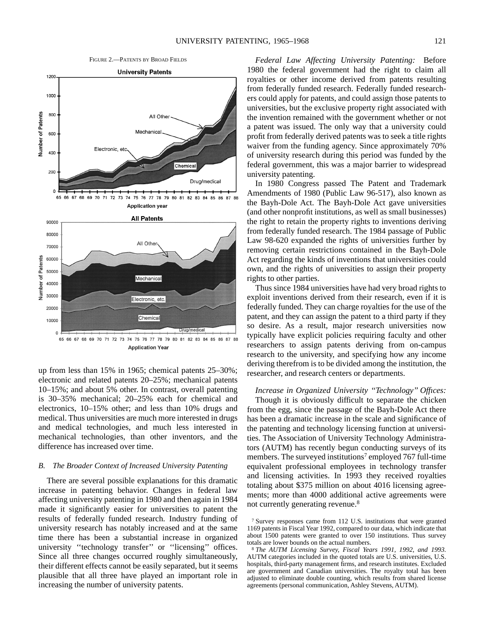

65 66 67 68 69 70 71 72 73 74 75 76 77 78 79 80 81 82 83 84 85 86 87 88 **Application Year** 

up from less than 15% in 1965; chemical patents 25–30%; electronic and related patents 20–25%; mechanical patents 10–15%; and about 5% other. In contrast, overall patenting is 30–35% mechanical; 20–25% each for chemical and electronics, 10–15% other; and less than 10% drugs and medical. Thus universities are much more interested in drugs and medical technologies, and much less interested in mechanical technologies, than other inventors, and the difference has increased over time.

## *B. The Broader Context of Increased University Patenting*

There are several possible explanations for this dramatic increase in patenting behavior. Changes in federal law affecting university patenting in 1980 and then again in 1984 made it significantly easier for universities to patent the results of federally funded research. Industry funding of university research has notably increased and at the same time there has been a substantial increase in organized university ''technology transfer'' or ''licensing'' offices. Since all three changes occurred roughly simultaneously, their different effects cannot be easily separated, but it seems plausible that all three have played an important role in increasing the number of university patents.

*Federal Law Affecting University Patenting:* Before 1980 the federal government had the right to claim all royalties or other income derived from patents resulting from federally funded research. Federally funded researchers could apply for patents, and could assign those patents to universities, but the exclusive property right associated with the invention remained with the government whether or not a patent was issued. The only way that a university could profit from federally derived patents was to seek a title rights waiver from the funding agency. Since approximately 70% of university research during this period was funded by the federal government, this was a major barrier to widespread university patenting.

In 1980 Congress passed The Patent and Trademark Amendments of 1980 (Public Law 96-517), also known as the Bayh-Dole Act. The Bayh-Dole Act gave universities (and other nonprofit institutions, as well as small businesses) the right to retain the property rights to inventions deriving from federally funded research. The 1984 passage of Public Law 98-620 expanded the rights of universities further by removing certain restrictions contained in the Bayh-Dole Act regarding the kinds of inventions that universities could own, and the rights of universities to assign their property rights to other parties.

Thus since 1984 universities have had very broad rights to exploit inventions derived from their research, even if it is federally funded. They can charge royalties for the use of the patent, and they can assign the patent to a third party if they so desire. As a result, major research universities now typically have explicit policies requiring faculty and other researchers to assign patents deriving from on-campus research to the university, and specifying how any income deriving therefrom is to be divided among the institution, the researcher, and research centers or departments.

#### *Increase in Organized University ''Technology'' Offıces:*

Though it is obviously difficult to separate the chicken from the egg, since the passage of the Bayh-Dole Act there has been a dramatic increase in the scale and significance of the patenting and technology licensing function at universities. The Association of University Technology Administrators (AUTM) has recently begun conducting surveys of its members. The surveyed institutions<sup>7</sup> employed 767 full-time equivalent professional employees in technology transfer and licensing activities. In 1993 they received royalties totaling about \$375 million on about 4016 licensing agreements; more than 4000 additional active agreements were not currently generating revenue.8

<sup>7</sup> Survey responses came from 112 U.S. institutions that were granted 1169 patents in Fiscal Year 1992, compared to our data, which indicate that about 1500 patents were granted to over 150 institutions. Thus survey totals are lower bounds on the actual numbers.

<sup>8</sup> *The AUTM Licensing Survey, Fiscal Years 1991, 1992, and 1993.* AUTM categories included in the quoted totals are U.S. universities, U.S. hospitals, third-party management firms, and research institutes. Excluded are government and Canadian universities. The royalty total has been adjusted to eliminate double counting, which results from shared license agreements (personal communication, Ashley Stevens, AUTM).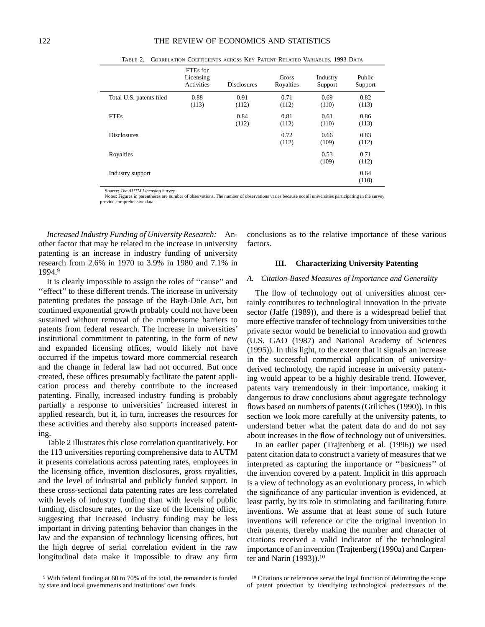|                          | FTEs for<br>Licensing<br>Activities | <b>Disclosures</b> | Gross<br>Royalties | Industry<br>Support | Public<br>Support |
|--------------------------|-------------------------------------|--------------------|--------------------|---------------------|-------------------|
| Total U.S. patents filed | 0.88<br>(113)                       | 0.91<br>(112)      | 0.71<br>(112)      | 0.69<br>(110)       | 0.82<br>(113)     |
| <b>FTEs</b>              |                                     | 0.84<br>(112)      | 0.81<br>(112)      | 0.61<br>(110)       | 0.86<br>(113)     |
| <b>Disclosures</b>       |                                     |                    | 0.72<br>(112)      | 0.66<br>(109)       | 0.83<br>(112)     |
| Royalties                |                                     |                    |                    | 0.53<br>(109)       | 0.71<br>(112)     |
| Industry support         |                                     |                    |                    |                     | 0.64<br>(110)     |

TABLE 2.—CORRELATION COEFFICIENTS ACROSS KEY PATENT-RELATED VARIABLES, 1993 DATA

Source: *The AUTM Licensing Survey.* Notes: Figures in parentheses are number of observations. The number of observations varies because not all universities participating in the survey

provide comprehensive data.

*Increased Industry Funding of University Research:* Another factor that may be related to the increase in university patenting is an increase in industry funding of university research from 2.6% in 1970 to 3.9% in 1980 and 7.1% in 1994.9

It is clearly impossible to assign the roles of ''cause'' and "effect" to these different trends. The increase in university patenting predates the passage of the Bayh-Dole Act, but continued exponential growth probably could not have been sustained without removal of the cumbersome barriers to patents from federal research. The increase in universities' institutional commitment to patenting, in the form of new and expanded licensing offices, would likely not have occurred if the impetus toward more commercial research and the change in federal law had not occurred. But once created, these offices presumably facilitate the patent application process and thereby contribute to the increased patenting. Finally, increased industry funding is probably partially a response to universities' increased interest in applied research, but it, in turn, increases the resources for these activities and thereby also supports increased patenting.

Table 2 illustrates this close correlation quantitatively. For the 113 universities reporting comprehensive data to AUTM it presents correlations across patenting rates, employees in the licensing office, invention disclosures, gross royalities, and the level of industrial and publicly funded support. In these cross-sectional data patenting rates are less correlated with levels of industry funding than with levels of public funding, disclosure rates, or the size of the licensing office, suggesting that increased industry funding may be less important in driving patenting behavior than changes in the law and the expansion of technology licensing offices, but the high degree of serial correlation evident in the raw longitudinal data make it impossible to draw any firm

<sup>9</sup> With federal funding at 60 to 70% of the total, the remainder is funded by state and local governments and institutions' own funds.

conclusions as to the relative importance of these various factors.

### **III. Characterizing University Patenting**

#### *A. Citation-Based Measures of Importance and Generality*

The flow of technology out of universities almost certainly contributes to technological innovation in the private sector (Jaffe (1989)), and there is a widespread belief that more effective transfer of technology from universities to the private sector would be beneficial to innovation and growth (U.S. GAO (1987) and National Academy of Sciences (1995)). In this light, to the extent that it signals an increase in the successful commercial application of universityderived technology, the rapid increase in university patenting would appear to be a highly desirable trend. However, patents vary tremendously in their importance, making it dangerous to draw conclusions about aggregate technology flows based on numbers of patents (Griliches (1990)). In this section we look more carefully at the university patents, to understand better what the patent data do and do not say about increases in the flow of technology out of universities.

In an earlier paper (Trajtenberg et al. (1996)) we used patent citation data to construct a variety of measures that we interpreted as capturing the importance or ''basicness'' of the invention covered by a patent. Implicit in this approach is a view of technology as an evolutionary process, in which the significance of any particular invention is evidenced, at least partly, by its role in stimulating and facilitating future inventions. We assume that at least some of such future inventions will reference or cite the original invention in their patents, thereby making the number and character of citations received a valid indicator of the technological importance of an invention (Trajtenberg (1990a) and Carpenter and Narin  $(1993)$ ).<sup>10</sup>

<sup>&</sup>lt;sup>10</sup> Citations or references serve the legal function of delimiting the scope of patent protection by identifying technological predecessors of the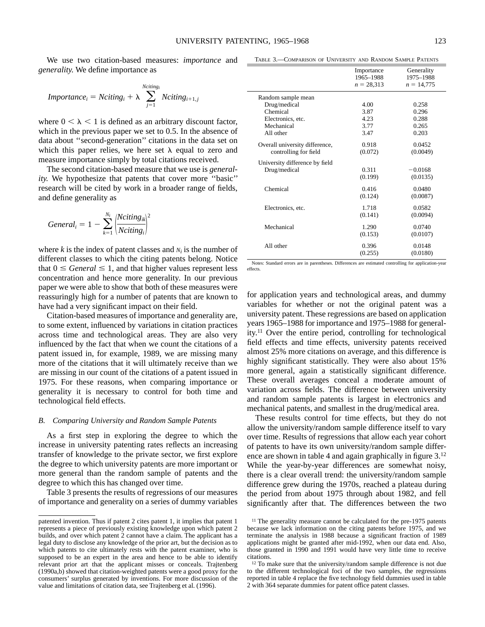We use two citation-based measures: *importance* and *generality.* We define importance as

$$
Importance_i = Nciting_i + \lambda \sum_{j=1}^{Nciting_i} Nciting_{i+1,j}
$$

where  $0 < \lambda < 1$  is defined as an arbitrary discount factor, which in the previous paper we set to 0.5. In the absence of data about ''second-generation'' citations in the data set on which this paper relies, we here set  $\lambda$  equal to zero and measure importance simply by total citations received.

The second citation-based measure that we use is *generality.* We hypothesize that patents that cover more ''basic'' research will be cited by work in a broader range of fields, and define generality as

$$
General_i = 1 - \sum_{k=1}^{N_i} \left( \frac{Notiting_{ik}}{Notiting_i} \right)^2
$$

where  $k$  is the index of patent classes and  $N_i$  is the number of different classes to which the citing patents belong. Notice that  $0 \leq General \leq 1$ , and that higher values represent less concentration and hence more generality. In our previous paper we were able to show that both of these measures were reassuringly high for a number of patents that are known to have had a very significant impact on their field.

Citation-based measures of importance and generality are, to some extent, influenced by variations in citation practices across time and technological areas. They are also very influenced by the fact that when we count the citations of a patent issued in, for example, 1989, we are missing many more of the citations that it will ultimately receive than we are missing in our count of the citations of a patent issued in 1975. For these reasons, when comparing importance or generality it is necessary to control for both time and technological field effects.

#### *B. Comparing University and Random Sample Patents*

As a first step in exploring the degree to which the increase in university patenting rates reflects an increasing transfer of knowledge to the private sector, we first explore the degree to which university patents are more important or more general than the random sample of patents and the degree to which this has changed over time.

Table 3 presents the results of regressions of our measures of importance and generality on a series of dummy variables

TABLE 3.—COMPARISON OF UNIVERSITY AND RANDOM SAMPLE PATENTS

|                                | Importance<br>1965-1988<br>$n = 28,313$ | Generality<br>1975-1988<br>$n = 14,775$ |
|--------------------------------|-----------------------------------------|-----------------------------------------|
| Random sample mean             |                                         |                                         |
| Drug/medical                   | 4.00                                    | 0.258                                   |
| Chemical                       | 3.87                                    | 0.296                                   |
| Electronics, etc.              | 4.23                                    | 0.288                                   |
| Mechanical                     | 3.77                                    | 0.265                                   |
| All other                      | 3.47                                    | 0.203                                   |
| Overall university difference, | 0.918                                   | 0.0452                                  |
| controlling for field          | (0.072)                                 | (0.0049)                                |
| University difference by field |                                         |                                         |
| Drug/medical                   | 0.311                                   | $-0.0168$                               |
|                                | (0.199)                                 | (0.0135)                                |
| Chemical                       | 0.416                                   | 0.0480                                  |
|                                | (0.124)                                 | (0.0087)                                |
| Electronics, etc.              | 1.718                                   | 0.0582                                  |
|                                | (0.141)                                 | (0.0094)                                |
| Mechanical                     | 1.290                                   | 0.0740                                  |
|                                | (0.153)                                 | (0.0107)                                |
| All other                      | 0.396                                   | 0.0148                                  |
|                                | (0.255)                                 | (0.0180)                                |

Notes: Standard errors are in parentheses. Differences are estimated controlling for application-year effects.

for application years and technological areas, and dummy variables for whether or not the original patent was a university patent. These regressions are based on application years 1965–1988 for importance and 1975–1988 for generality.11 Over the entire period, controlling for technological field effects and time effects, university patents received almost 25% more citations on average, and this difference is highly significant statistically. They were also about 15% more general, again a statistically significant difference. These overall averages conceal a moderate amount of variation across fields. The difference between university and random sample patents is largest in electronics and mechanical patents, and smallest in the drug/medical area.

These results control for time effects, but they do not allow the university/random sample difference itself to vary over time. Results of regressions that allow each year cohort of patents to have its own university/random sample difference are shown in table 4 and again graphically in figure 3.<sup>12</sup> While the year-by-year differences are somewhat noisy, there is a clear overall trend: the university/random sample difference grew during the 1970s, reached a plateau during the period from about 1975 through about 1982, and fell significantly after that. The differences between the two

patented invention. Thus if patent 2 cites patent 1, it implies that patent 1 represents a piece of previously existing knowledge upon which patent 2 builds, and over which patent 2 cannot have a claim. The applicant has a legal duty to disclose any knowledge of the prior art, but the decision as to which patents to cite ultimately rests with the patent examiner, who is supposed to be an expert in the area and hence to be able to identify relevant prior art that the applicant misses or conceals. Trajtenberg (1990a,b) showed that citation-weighted patents were a good proxy for the consumers' surplus generated by inventions. For more discussion of the value and limitations of citation data, see Trajtenberg et al. (1996).

<sup>&</sup>lt;sup>11</sup> The generality measure cannot be calculated for the pre-1975 patents because we lack information on the citing patents before 1975, and we terminate the analysis in 1988 because a significant fraction of 1989 applications might be granted after mid-1992, when our data end. Also, those granted in 1990 and 1991 would have very little time to receive citations.

<sup>&</sup>lt;sup>12</sup> To make sure that the university/random sample difference is not due to the different technological foci of the two samples, the regressions reported in table 4 replace the five technology field dummies used in table 2 with 364 separate dummies for patent office patent classes.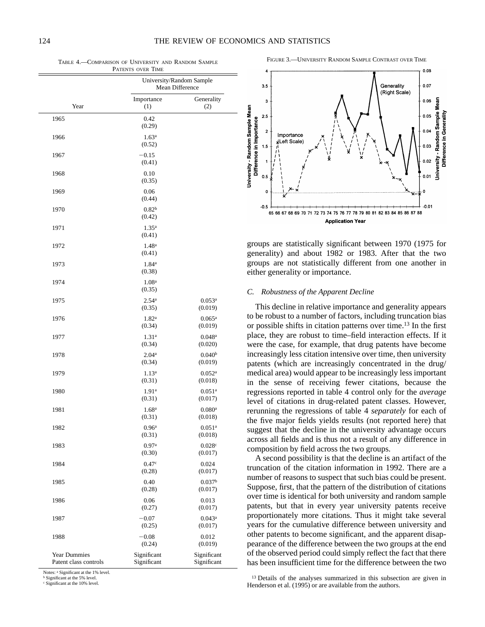TABLE 4.—COMPARISON OF UNIVERSITY AND RANDOM SAMPLE PATENTS OVER TIME

|                                              | University/Random Sample<br>Mean Difference |                                 |  |
|----------------------------------------------|---------------------------------------------|---------------------------------|--|
| Year                                         | Importance<br>(1)                           | Generality<br>(2)               |  |
| 1965                                         | 0.42<br>(0.29)                              |                                 |  |
| 1966                                         | $1.63^{a}$<br>(0.52)                        |                                 |  |
| 1967                                         | $-0.15$<br>(0.41)                           |                                 |  |
| 1968                                         | 0.10<br>(0.35)                              |                                 |  |
| 1969                                         | 0.06<br>(0.44)                              |                                 |  |
| 1970                                         | 0.82 <sup>b</sup><br>(0.42)                 |                                 |  |
| 1971                                         | $1.35^{a}$<br>(0.41)                        |                                 |  |
| 1972                                         | 1.48 <sup>a</sup><br>(0.41)                 |                                 |  |
| 1973                                         | 1.84 <sup>a</sup><br>(0.38)                 |                                 |  |
| 1974                                         | 1.08 <sup>a</sup><br>(0.35)                 |                                 |  |
| 1975                                         | 2.54 <sup>a</sup><br>(0.35)                 | $0.053^{a}$<br>(0.019)          |  |
| 1976                                         | 1.82 <sup>a</sup><br>(0.34)                 | $0.065^{\text{a}}$<br>(0.019)   |  |
| 1977                                         | 1.31 <sup>a</sup><br>(0.34)                 | $0.048$ <sup>a</sup><br>(0.020) |  |
| 1978                                         | 2.04 <sup>a</sup><br>(0.34)                 | 0.040 <sup>b</sup><br>(0.019)   |  |
| 1979                                         | $1.13^{a}$<br>(0.31)                        | $0.052$ <sup>a</sup><br>(0.018) |  |
| 1980                                         | 1.91 <sup>a</sup><br>(0.31)                 | $0.051$ <sup>a</sup><br>(0.017) |  |
| 1981                                         | 1.68 <sup>a</sup><br>(0.31)                 | $0.080$ <sup>a</sup><br>(0.018) |  |
| 1982                                         | 0.96 <sup>a</sup><br>(0.31)                 | 0.051a<br>(0.018)               |  |
| 1983                                         | 0.97a<br>(0.30)                             | 0.028c<br>(0.017)               |  |
| 1984                                         | 0.47c<br>(0.28)                             | 0.024<br>(0.017)                |  |
| 1985                                         | 0.40<br>(0.28)                              | 0.037 <sup>b</sup><br>(0.017)   |  |
| 1986                                         | 0.06<br>(0.27)                              | 0.013<br>(0.017)                |  |
| 1987                                         | $-0.07$<br>(0.25)                           | 0.043a<br>(0.017)               |  |
| 1988                                         | $-0.08$<br>(0.24)                           | 0.012<br>(0.019)                |  |
| <b>Year Dummies</b><br>Patent class controls | Significant<br>Significant                  | Significant<br>Significant      |  |

Notes: <sup>a</sup> Significant at the 1% level. **Significant at the 5% level.** 

Significant at the 10% level.

0.08  $3.5$ Generality  $0.07$ (Right Scale)  $\overline{\mathbf{3}}$  $0.06$ University - Random Sample Mean Sample Difference in Generality 0.05  $2.5$ Difference in Importance  $\overline{\mathbf{c}}$  $0.04$ **Random** Importance √Left Scale)  $1.5$ 0.03 **University** 0.02  $0.5$  $0.01$ ¢ Ò -0.  $-0.01$ 65 66 67 68 69 70 71 72 73 74 75 76 77 78 79 80 81 82 83 84 85 86 87 88 **Application Year** 

FIGURE 3.—UNIVERSITY RANDOM SAMPLE CONTRAST OVER TIME

groups are statistically significant between 1970 (1975 for generality) and about 1982 or 1983. After that the two groups are not statistically different from one another in either generality or importance.

#### *C. Robustness of the Apparent Decline*

This decline in relative importance and generality appears to be robust to a number of factors, including truncation bias or possible shifts in citation patterns over time.13 In the first place, they are robust to time–field interaction effects. If it were the case, for example, that drug patents have become increasingly less citation intensive over time, then university patents (which are increasingly concentrated in the drug/ medical area) would appear to be increasingly less important in the sense of receiving fewer citations, because the regressions reported in table 4 control only for the *average* level of citations in drug-related patent classes. However, rerunning the regressions of table 4 *separately* for each of the five major fields yields results (not reported here) that suggest that the decline in the university advantage occurs across all fields and is thus not a result of any difference in composition by field across the two groups.

A second possibility is that the decline is an artifact of the truncation of the citation information in 1992. There are a number of reasons to suspect that such bias could be present. Suppose, first, that the pattern of the distribution of citations over time is identical for both university and random sample patents, but that in every year university patents receive proportionately more citations. Thus it might take several years for the cumulative difference between university and other patents to become significant, and the apparent disappearance of the difference between the two groups at the end of the observed period could simply reflect the fact that there has been insufficient time for the difference between the two

<sup>13</sup> Details of the analyses summarized in this subsection are given in Henderson et al. (1995) or are available from the authors.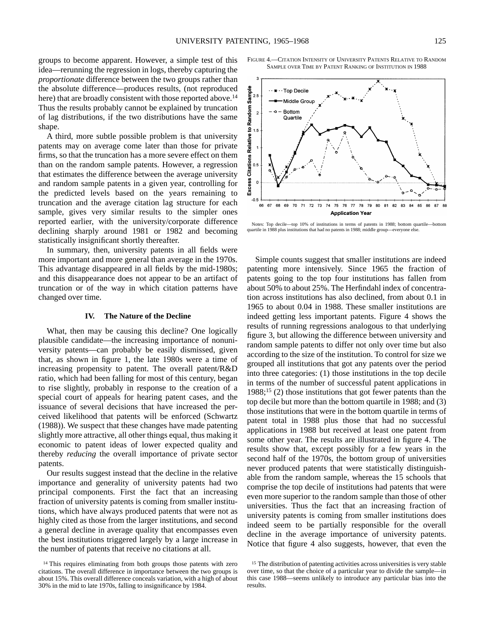groups to become apparent. However, a simple test of this idea—rerunning the regression in logs, thereby capturing the *proportionate* difference between the two groups rather than the absolute difference—produces results, (not reproduced here) that are broadly consistent with those reported above.<sup>14</sup> Thus the results probably cannot be explained by truncation of lag distributions, if the two distributions have the same shape.

A third, more subtle possible problem is that university patents may on average come later than those for private firms, so that the truncation has a more severe effect on them than on the random sample patents. However, a regression that estimates the difference between the average university and random sample patents in a given year, controlling for the predicted levels based on the years remaining to truncation and the average citation lag structure for each sample, gives very similar results to the simpler ones reported earlier, with the university/corporate difference declining sharply around 1981 or 1982 and becoming statistically insignificant shortly thereafter.

In summary, then, university patents in all fields were more important and more general than average in the 1970s. This advantage disappeared in all fields by the mid-1980s; and this disappearance does not appear to be an artifact of truncation or of the way in which citation patterns have changed over time.

### **IV. The Nature of the Decline**

What, then may be causing this decline? One logically plausible candidate—the increasing importance of nonuniversity patents—can probably be easily dismissed, given that, as shown in figure 1, the late 1980s were a time of increasing propensity to patent. The overall patent/R&D ratio, which had been falling for most of this century, began to rise slightly, probably in response to the creation of a special court of appeals for hearing patent cases, and the issuance of several decisions that have increased the perceived likelihood that patents will be enforced (Schwartz (1988)). We suspect that these changes have made patenting slightly more attractive, all other things equal, thus making it economic to patent ideas of lower expected quality and thereby *reducing* the overall importance of private sector patents.

Our results suggest instead that the decline in the relative importance and generality of university patents had two principal components. First the fact that an increasing fraction of university patents is coming from smaller institutions, which have always produced patents that were not as highly cited as those from the larger institutions, and second a general decline in average quality that encompasses even the best institutions triggered largely by a large increase in the number of patents that receive no citations at all.

FIGURE 4.—CITATION INTENSITY OF UNIVERSITY PATENTS RELATIVE TO RANDOM SAMPLE OVER TIME BY PATENT RANKING OF INSTITUTION IN 1988



Notes: Top decile—top 10% of institutions in terms of patents in 1988; bottom quartile—bottom quartile in 1988 plus institutions that had no patents in 1988; middle group—everyone else.

Simple counts suggest that smaller institutions are indeed patenting more intensively. Since 1965 the fraction of patents going to the top four institutions has fallen from about 50% to about 25%. The Herfindahl index of concentration across institutions has also declined, from about 0.1 in 1965 to about 0.04 in 1988. These smaller institutions are indeed getting less important patents. Figure 4 shows the results of running regressions analogous to that underlying figure 3, but allowing the difference between university and random sample patents to differ not only over time but also according to the size of the institution. To control for size we grouped all institutions that got any patents over the period into three categories: (1) those institutions in the top decile in terms of the number of successful patent applications in 1988; $15$  (2) those institutions that got fewer patents than the top decile but more than the bottom quartile in 1988; and (3) those institutions that were in the bottom quartile in terms of patent total in 1988 plus those that had no successful applications in 1988 but received at least one patent from some other year. The results are illustrated in figure 4. The results show that, except possibly for a few years in the second half of the 1970s, the bottom group of universities never produced patents that were statistically distinguishable from the random sample, whereas the 15 schools that comprise the top decile of institutions had patents that were even more superior to the random sample than those of other universities. Thus the fact that an increasing fraction of university patents is coming from smaller institutions does indeed seem to be partially responsible for the overall decline in the average importance of university patents. Notice that figure 4 also suggests, however, that even the

<sup>&</sup>lt;sup>14</sup> This requires eliminating from both groups those patents with zero citations. The overall difference in importance between the two groups is about 15%. This overall difference conceals variation, with a high of about 30% in the mid to late 1970s, falling to insignificance by 1984.

<sup>&</sup>lt;sup>15</sup> The distribution of patenting activities across universities is very stable over time, so that the choice of a particular year to divide the sample—in this case 1988—seems unlikely to introduce any particular bias into the results.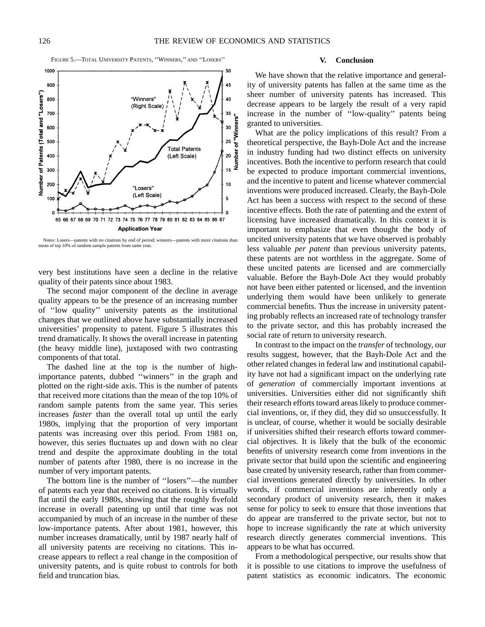FIGURE 5.—TOTAL UNIVERSITY PATENTS, ''WINNERS,'' AND ''LOSERS''



Notes: Losers—patents with no citations by end of period; winners—patents with more citations than mean of top 10% of random sample patents from same year.

very best institutions have seen a decline in the relative quality of their patents since about 1983.

The second major component of the decline in average quality appears to be the presence of an increasing number of ''low quality'' university patents as the institutional changes that we outlined above have substantially increased universities' propensity to patent. Figure 5 illustrates this trend dramatically. It shows the overall increase in patenting (the heavy middle line), juxtaposed with two contrasting components of that total.

The dashed line at the top is the number of highimportance patents, dubbed ''winners'' in the graph and plotted on the right-side axis. This is the number of patents that received more citations than the mean of the top 10% of random sample patents from the same year. This series increases *faster* than the overall total up until the early 1980s, implying that the proportion of very important patents was increasing over this period. From 1981 on, however, this series fluctuates up and down with no clear trend and despite the approximate doubling in the total number of patents after 1980, there is no increase in the number of very important patents.

The bottom line is the number of ''losers''—the number of patents each year that received no citations. It is virtually flat until the early 1980s, showing that the roughly fivefold increase in overall patenting up until that time was not accompanied by much of an increase in the number of these low-importance patents. After about 1981, however, this number increases dramatically, until by 1987 nearly half of all university patents are receiving no citations. This increase appears to reflect a real change in the composition of university patents, and is quite robust to controls for both field and truncation bias.

## **V. Conclusion**

We have shown that the relative importance and generality of university patents has fallen at the same time as the sheer number of university patents has increased. This decrease appears to be largely the result of a very rapid increase in the number of ''low-quality'' patents being granted to universities.

What are the policy implications of this result? From a theoretical perspective, the Bayh-Dole Act and the increase in industry funding had two distinct effects on university incentives. Both the incentive to perform research that could be expected to produce important commercial inventions, and the incentive to patent and license whatever commercial inventions were produced increased. Clearly, the Bayh-Dole Act has been a success with respect to the second of these incentive effects. Both the rate of patenting and the extent of licensing have increased dramatically. In this context it is important to emphasize that even thought the body of uncited university patents that we have observed is probably less valuable *per patent* than previous university patents, these patents are not worthless in the aggregate. Some of these uncited patents are licensed and are commercially valuable. Before the Bayh-Dole Act they would probably not have been either patented or licensed, and the invention underlying them would have been unlikely to generate commercial benefits. Thus the increase in university patenting probably reflects an increased rate of technology transfer to the private sector, and this has probably increased the social rate of return to university research.

In contrast to the impact on the *transfer* of technology, our results suggest, however, that the Bayh-Dole Act and the other related changes in federal law and institutional capability have not had a significant impact on the underlying rate of *generation* of commercially important inventions at universities. Universities either did not significantly shift their research efforts toward areas likely to produce commercial inventions, or, if they did, they did so unsuccessfully. It is unclear, of course, whether it would be socially desirable if universities shifted their research efforts toward commercial objectives. It is likely that the bulk of the economic benefits of university research come from inventions in the private sector that build upon the scientific and engineering base created by university research, rather than from commercial inventions generated directly by universities. In other words, if commercial inventions are inherently only a secondary product of university research, then it makes sense for policy to seek to ensure that those inventions that do appear are transferred to the private sector, but not to hope to increase significantly the rate at which university research directly generates commercial inventions. This appears to be what has occurred.

From a methodological perspective, our results show that it is possible to use citations to improve the usefulness of patent statistics as economic indicators. The economic